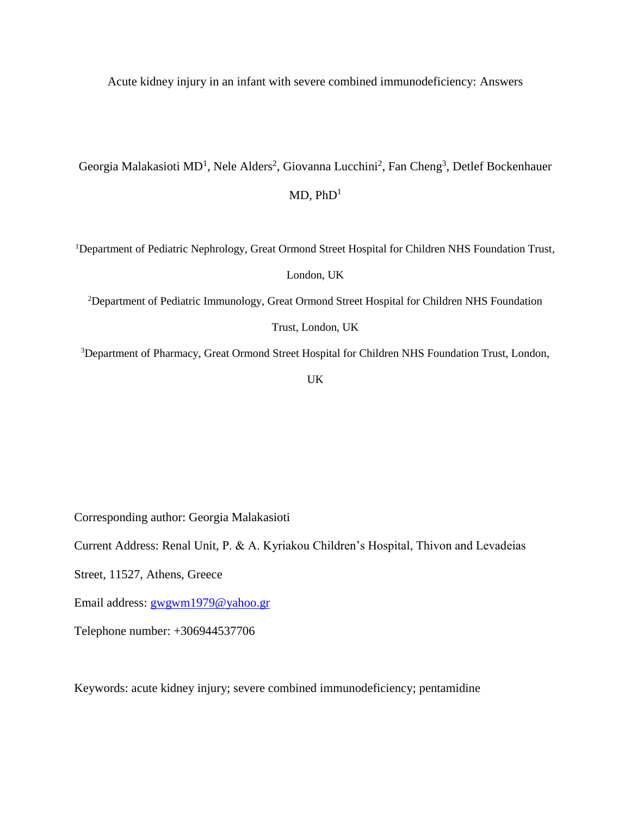Acute kidney injury in an infant with severe combined immunodeficiency: Answers

Georgia Malakasioti MD<sup>1</sup>, Nele Alders<sup>2</sup>, Giovanna Lucchini<sup>2</sup>, Fan Cheng<sup>3</sup>, Detlef Bockenhauer  $MD. PhD<sup>1</sup>$ 

<sup>1</sup>Department of Pediatric Nephrology, Great Ormond Street Hospital for Children NHS Foundation Trust,

London, UK

<sup>2</sup>Department of Pediatric Immunology, Great Ormond Street Hospital for Children NHS Foundation

Trust, London, UK

<sup>3</sup>Department of Pharmacy, Great Ormond Street Hospital for Children NHS Foundation Trust, London,

UK

Corresponding author: Georgia Malakasioti

Current Address: Renal Unit, P. & A. Kyriakou Children's Hospital, Thivon and Levadeias

Street, 11527, Athens, Greece

Email address: [gwgwm1979@yahoo.gr](mailto:gwgwm1979@yahoo.gr)

Telephone number: +306944537706

Keywords: acute kidney injury; severe combined immunodeficiency; pentamidine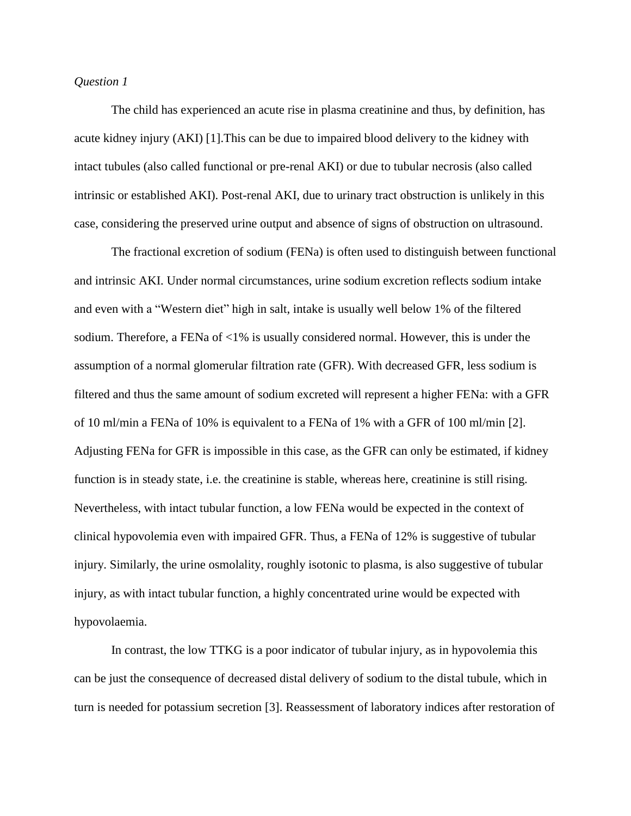# *Question 1*

The child has experienced an acute rise in plasma creatinine and thus, by definition, has acute kidney injury (AKI) [1].This can be due to impaired blood delivery to the kidney with intact tubules (also called functional or pre-renal AKI) or due to tubular necrosis (also called intrinsic or established AKI). Post-renal AKI, due to urinary tract obstruction is unlikely in this case, considering the preserved urine output and absence of signs of obstruction on ultrasound.

The fractional excretion of sodium (FENa) is often used to distinguish between functional and intrinsic AKI. Under normal circumstances, urine sodium excretion reflects sodium intake and even with a "Western diet" high in salt, intake is usually well below 1% of the filtered sodium. Therefore, a FENa of <1% is usually considered normal. However, this is under the assumption of a normal glomerular filtration rate (GFR). With decreased GFR, less sodium is filtered and thus the same amount of sodium excreted will represent a higher FENa: with a GFR of 10 ml/min a FENa of 10% is equivalent to a FENa of 1% with a GFR of 100 ml/min [2]. Adjusting FENa for GFR is impossible in this case, as the GFR can only be estimated, if kidney function is in steady state, i.e. the creatinine is stable, whereas here, creatinine is still rising. Nevertheless, with intact tubular function, a low FENa would be expected in the context of clinical hypovolemia even with impaired GFR. Thus, a FENa of 12% is suggestive of tubular injury. Similarly, the urine osmolality, roughly isotonic to plasma, is also suggestive of tubular injury, as with intact tubular function, a highly concentrated urine would be expected with hypovolaemia.

In contrast, the low TTKG is a poor indicator of tubular injury, as in hypovolemia this can be just the consequence of decreased distal delivery of sodium to the distal tubule, which in turn is needed for potassium secretion [3]. Reassessment of laboratory indices after restoration of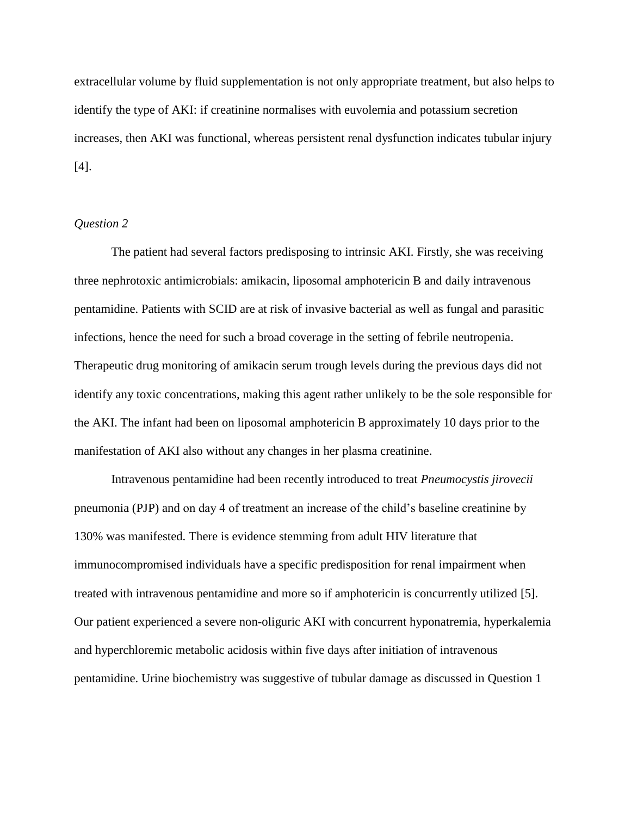extracellular volume by fluid supplementation is not only appropriate treatment, but also helps to identify the type of AKI: if creatinine normalises with euvolemia and potassium secretion increases, then AKI was functional, whereas persistent renal dysfunction indicates tubular injury [4].

# *Question 2*

The patient had several factors predisposing to intrinsic AKI. Firstly, she was receiving three nephrotoxic antimicrobials: amikacin, liposomal amphotericin B and daily intravenous pentamidine. Patients with SCID are at risk of invasive bacterial as well as fungal and parasitic infections, hence the need for such a broad coverage in the setting of febrile neutropenia. Therapeutic drug monitoring of amikacin serum trough levels during the previous days did not identify any toxic concentrations, making this agent rather unlikely to be the sole responsible for the AKI. The infant had been on liposomal amphotericin B approximately 10 days prior to the manifestation of AKI also without any changes in her plasma creatinine.

Intravenous pentamidine had been recently introduced to treat *Pneumocystis jirovecii* pneumonia (PJP) and on day 4 of treatment an increase of the child's baseline creatinine by 130% was manifested. There is evidence stemming from adult HIV literature that immunocompromised individuals have a specific predisposition for renal impairment when treated with intravenous pentamidine and more so if amphotericin is concurrently utilized [5]. Our patient experienced a severe non-oliguric AKI with concurrent hyponatremia, hyperkalemia and hyperchloremic metabolic acidosis within five days after initiation of intravenous pentamidine. Urine biochemistry was suggestive of tubular damage as discussed in Question 1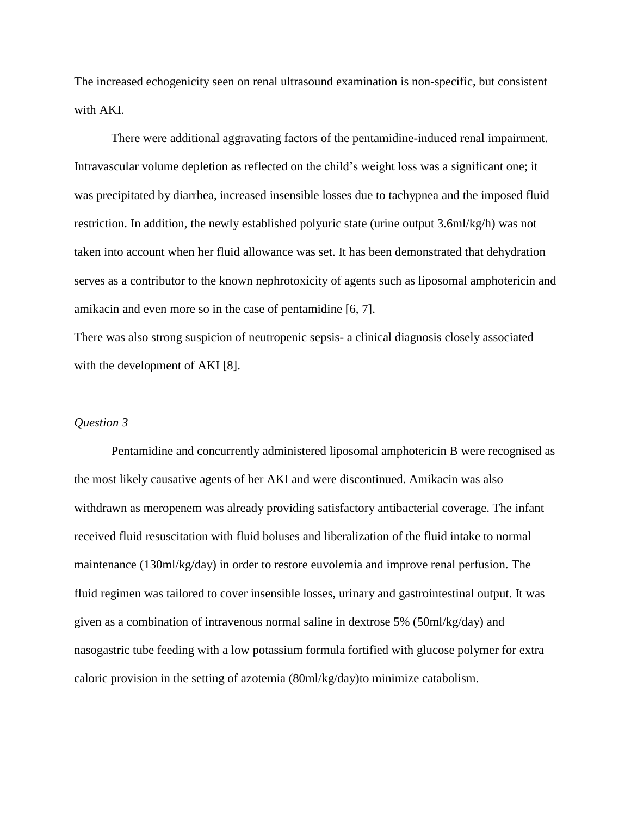The increased echogenicity seen on renal ultrasound examination is non-specific, but consistent with AKI.

There were additional aggravating factors of the pentamidine-induced renal impairment. Intravascular volume depletion as reflected on the child's weight loss was a significant one; it was precipitated by diarrhea, increased insensible losses due to tachypnea and the imposed fluid restriction. In addition, the newly established polyuric state (urine output 3.6ml/kg/h) was not taken into account when her fluid allowance was set. It has been demonstrated that dehydration serves as a contributor to the known nephrotoxicity of agents such as liposomal amphotericin and amikacin and even more so in the case of pentamidine [6, 7].

There was also strong suspicion of neutropenic sepsis- a clinical diagnosis closely associated with the development of AKI [8].

#### *Question 3*

Pentamidine and concurrently administered liposomal amphotericin B were recognised as the most likely causative agents of her AKI and were discontinued. Amikacin was also withdrawn as meropenem was already providing satisfactory antibacterial coverage. The infant received fluid resuscitation with fluid boluses and liberalization of the fluid intake to normal maintenance (130ml/kg/day) in order to restore euvolemia and improve renal perfusion. The fluid regimen was tailored to cover insensible losses, urinary and gastrointestinal output. It was given as a combination of intravenous normal saline in dextrose 5% (50ml/kg/day) and nasogastric tube feeding with a low potassium formula fortified with glucose polymer for extra caloric provision in the setting of azotemia (80ml/kg/day)to minimize catabolism.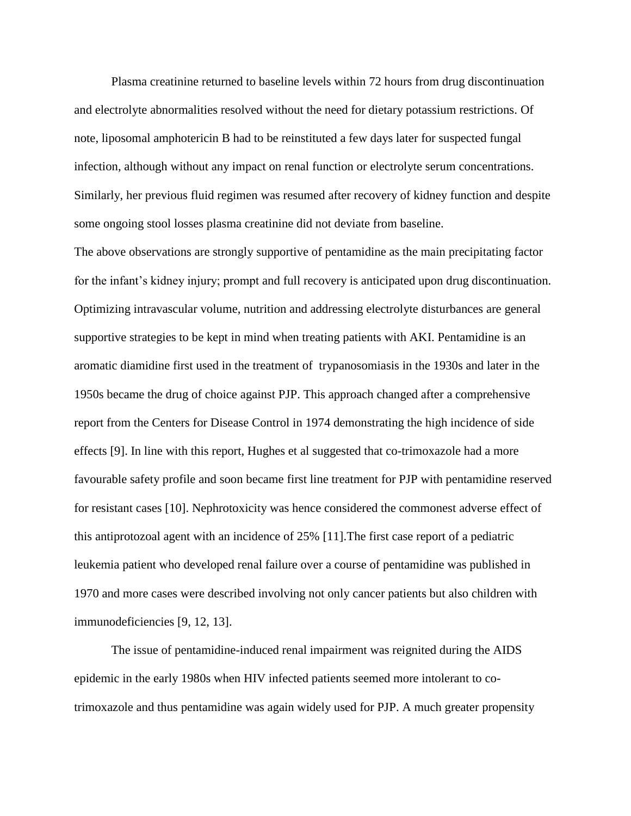Plasma creatinine returned to baseline levels within 72 hours from drug discontinuation and electrolyte abnormalities resolved without the need for dietary potassium restrictions. Of note, liposomal amphotericin B had to be reinstituted a few days later for suspected fungal infection, although without any impact on renal function or electrolyte serum concentrations. Similarly, her previous fluid regimen was resumed after recovery of kidney function and despite some ongoing stool losses plasma creatinine did not deviate from baseline.

The above observations are strongly supportive of pentamidine as the main precipitating factor for the infant's kidney injury; prompt and full recovery is anticipated upon drug discontinuation. Optimizing intravascular volume, nutrition and addressing electrolyte disturbances are general supportive strategies to be kept in mind when treating patients with AKI. Pentamidine is an aromatic diamidine first used in the treatment of trypanosomiasis in the 1930s and later in the 1950s became the drug of choice against PJP. This approach changed after a comprehensive report from the Centers for Disease Control in 1974 demonstrating the high incidence of side effects [9]. In line with this report, Hughes et al suggested that co-trimoxazole had a more favourable safety profile and soon became first line treatment for PJP with pentamidine reserved for resistant cases [10]. Nephrotoxicity was hence considered the commonest adverse effect of this antiprotozoal agent with an incidence of 25% [11].The first case report of a pediatric leukemia patient who developed renal failure over a course of pentamidine was published in 1970 and more cases were described involving not only cancer patients but also children with immunodeficiencies [9, 12, 13].

The issue of pentamidine-induced renal impairment was reignited during the AIDS epidemic in the early 1980s when HIV infected patients seemed more intolerant to cotrimoxazole and thus pentamidine was again widely used for PJP. A much greater propensity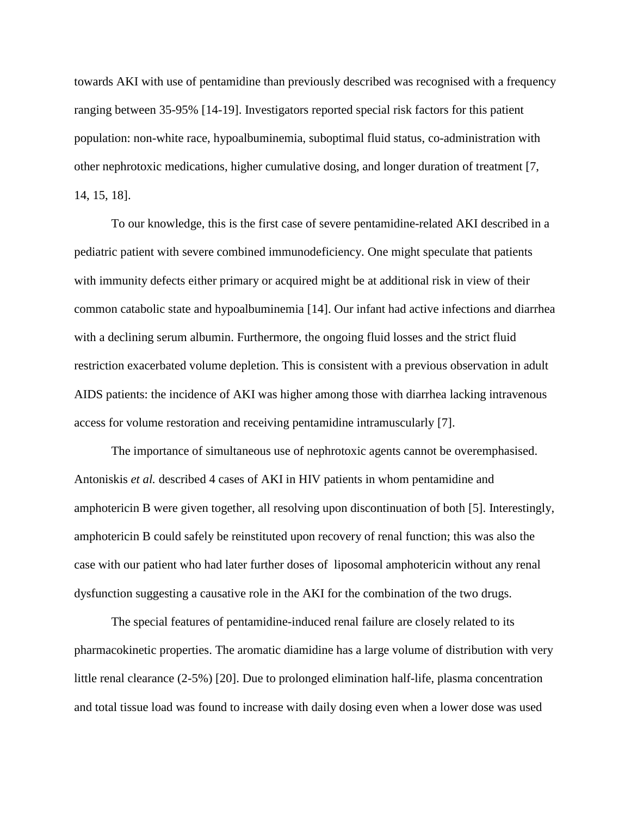towards AKI with use of pentamidine than previously described was recognised with a frequency ranging between 35-95% [14-19]. Investigators reported special risk factors for this patient population: non-white race, hypoalbuminemia, suboptimal fluid status, co-administration with other nephrotoxic medications, higher cumulative dosing, and longer duration of treatment [7, 14, 15, 18].

To our knowledge, this is the first case of severe pentamidine-related AKI described in a pediatric patient with severe combined immunodeficiency. One might speculate that patients with immunity defects either primary or acquired might be at additional risk in view of their common catabolic state and hypoalbuminemia [14]. Our infant had active infections and diarrhea with a declining serum albumin. Furthermore, the ongoing fluid losses and the strict fluid restriction exacerbated volume depletion. This is consistent with a previous observation in adult AIDS patients: the incidence of AKI was higher among those with diarrhea lacking intravenous access for volume restoration and receiving pentamidine intramuscularly [7].

The importance of simultaneous use of nephrotoxic agents cannot be overemphasised. Antoniskis *et al.* described 4 cases of AKI in HIV patients in whom pentamidine and amphotericin B were given together, all resolving upon discontinuation of both [5]. Interestingly, amphotericin B could safely be reinstituted upon recovery of renal function; this was also the case with our patient who had later further doses of liposomal amphotericin without any renal dysfunction suggesting a causative role in the AKI for the combination of the two drugs.

The special features of pentamidine-induced renal failure are closely related to its pharmacokinetic properties. The aromatic diamidine has a large volume of distribution with very little renal clearance (2-5%) [20]. Due to prolonged elimination half-life, plasma concentration and total tissue load was found to increase with daily dosing even when a lower dose was used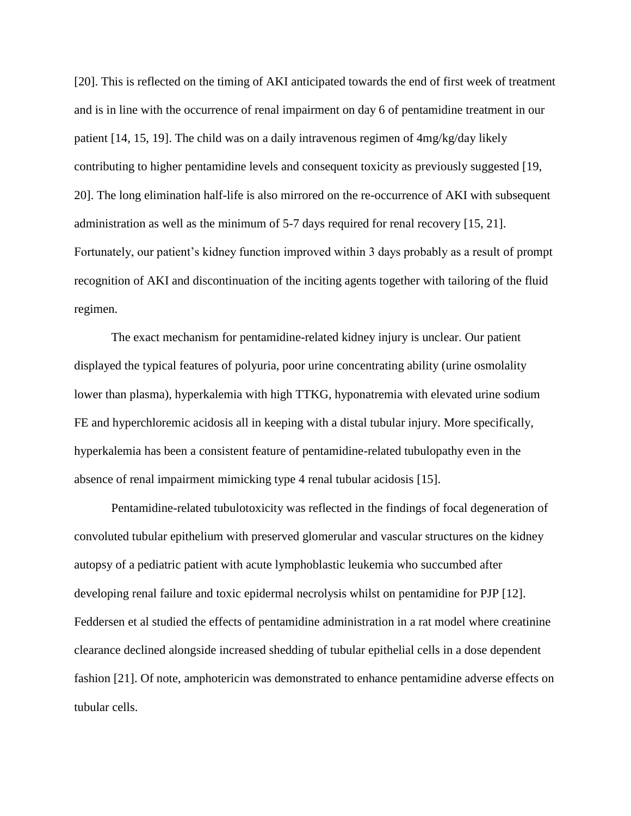[20]. This is reflected on the timing of AKI anticipated towards the end of first week of treatment and is in line with the occurrence of renal impairment on day 6 of pentamidine treatment in our patient [14, 15, 19]. The child was on a daily intravenous regimen of 4mg/kg/day likely contributing to higher pentamidine levels and consequent toxicity as previously suggested [19, 20]. The long elimination half-life is also mirrored on the re-occurrence of AKI with subsequent administration as well as the minimum of 5-7 days required for renal recovery [15, 21]. Fortunately, our patient's kidney function improved within 3 days probably as a result of prompt recognition of AKI and discontinuation of the inciting agents together with tailoring of the fluid regimen.

The exact mechanism for pentamidine-related kidney injury is unclear. Our patient displayed the typical features of polyuria, poor urine concentrating ability (urine osmolality lower than plasma), hyperkalemia with high TTKG, hyponatremia with elevated urine sodium FE and hyperchloremic acidosis all in keeping with a distal tubular injury. More specifically, hyperkalemia has been a consistent feature of pentamidine-related tubulopathy even in the absence of renal impairment mimicking type 4 renal tubular acidosis [15].

Pentamidine-related tubulotoxicity was reflected in the findings of focal degeneration of convoluted tubular epithelium with preserved glomerular and vascular structures on the kidney autopsy of a pediatric patient with acute lymphoblastic leukemia who succumbed after developing renal failure and toxic epidermal necrolysis whilst on pentamidine for PJP [12]. Feddersen et al studied the effects of pentamidine administration in a rat model where creatinine clearance declined alongside increased shedding of tubular epithelial cells in a dose dependent fashion [21]. Of note, amphotericin was demonstrated to enhance pentamidine adverse effects on tubular cells.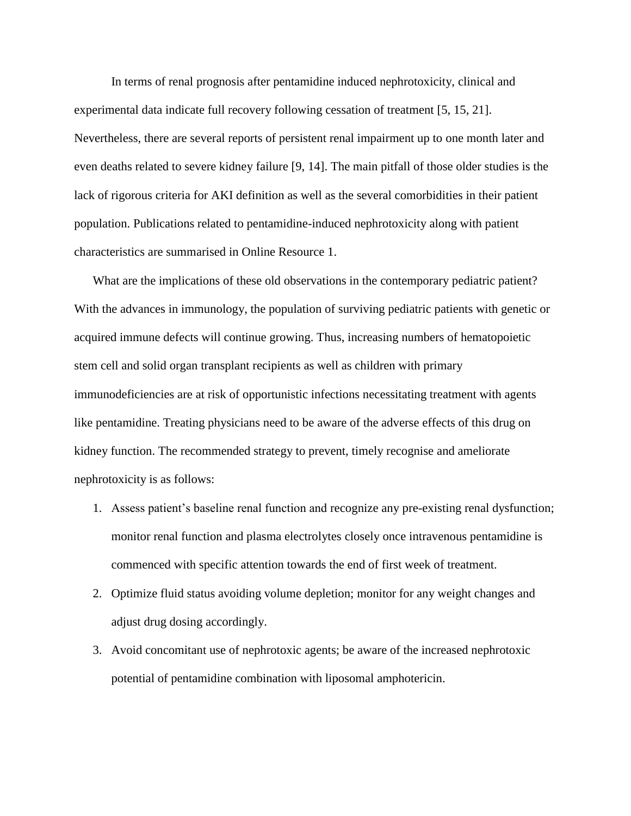In terms of renal prognosis after pentamidine induced nephrotoxicity, clinical and experimental data indicate full recovery following cessation of treatment [5, 15, 21]. Nevertheless, there are several reports of persistent renal impairment up to one month later and even deaths related to severe kidney failure [9, 14]. The main pitfall of those older studies is the lack of rigorous criteria for AKI definition as well as the several comorbidities in their patient population. Publications related to pentamidine-induced nephrotoxicity along with patient characteristics are summarised in Online Resource 1.

What are the implications of these old observations in the contemporary pediatric patient? With the advances in immunology, the population of surviving pediatric patients with genetic or acquired immune defects will continue growing. Thus, increasing numbers of hematopoietic stem cell and solid organ transplant recipients as well as children with primary immunodeficiencies are at risk of opportunistic infections necessitating treatment with agents like pentamidine. Treating physicians need to be aware of the adverse effects of this drug on kidney function. The recommended strategy to prevent, timely recognise and ameliorate nephrotoxicity is as follows:

- 1. Assess patient's baseline renal function and recognize any pre-existing renal dysfunction; monitor renal function and plasma electrolytes closely once intravenous pentamidine is commenced with specific attention towards the end of first week of treatment.
- 2. Optimize fluid status avoiding volume depletion; monitor for any weight changes and adjust drug dosing accordingly.
- 3. Avoid concomitant use of nephrotoxic agents; be aware of the increased nephrotoxic potential of pentamidine combination with liposomal amphotericin.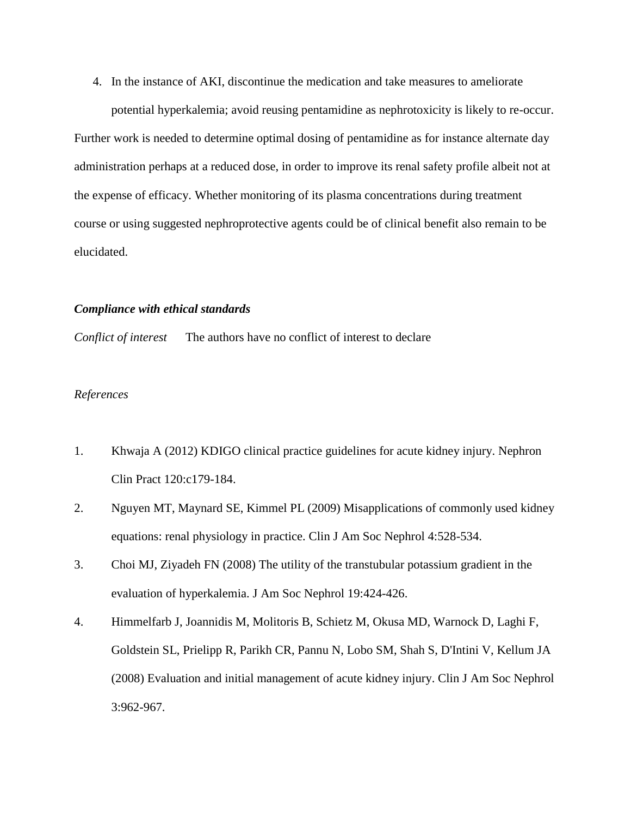4. In the instance of AKI, discontinue the medication and take measures to ameliorate potential hyperkalemia; avoid reusing pentamidine as nephrotoxicity is likely to re-occur.

Further work is needed to determine optimal dosing of pentamidine as for instance alternate day administration perhaps at a reduced dose, in order to improve its renal safety profile albeit not at the expense of efficacy. Whether monitoring of its plasma concentrations during treatment course or using suggested nephroprotective agents could be of clinical benefit also remain to be elucidated.

### *Compliance with ethical standards*

*Conflict of interest* The authors have no conflict of interest to declare

# *References*

- 1. Khwaja A (2012) KDIGO clinical practice guidelines for acute kidney injury. Nephron Clin Pract 120:c179-184.
- 2. Nguyen MT, Maynard SE, Kimmel PL (2009) Misapplications of commonly used kidney equations: renal physiology in practice. Clin J Am Soc Nephrol 4:528-534.
- 3. Choi MJ, Ziyadeh FN (2008) The utility of the transtubular potassium gradient in the evaluation of hyperkalemia. J Am Soc Nephrol 19:424-426.
- 4. Himmelfarb J, Joannidis M, Molitoris B, Schietz M, Okusa MD, Warnock D, Laghi F, Goldstein SL, Prielipp R, Parikh CR, Pannu N, Lobo SM, Shah S, D'Intini V, Kellum JA (2008) Evaluation and initial management of acute kidney injury. Clin J Am Soc Nephrol 3:962-967.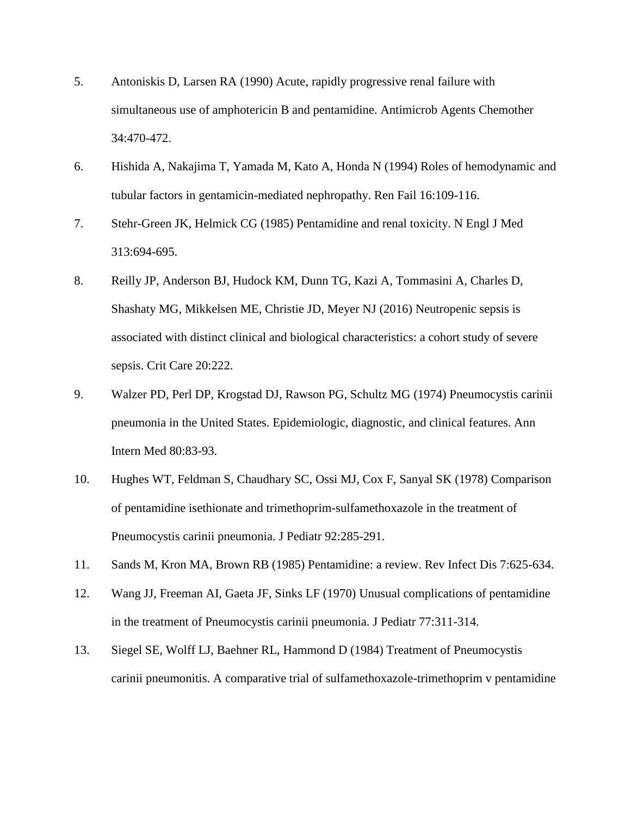- 5. Antoniskis D, Larsen RA (1990) Acute, rapidly progressive renal failure with simultaneous use of amphotericin B and pentamidine. Antimicrob Agents Chemother 34:470-472.
- 6. Hishida A, Nakajima T, Yamada M, Kato A, Honda N (1994) Roles of hemodynamic and tubular factors in gentamicin-mediated nephropathy. Ren Fail 16:109-116.
- 7. Stehr-Green JK, Helmick CG (1985) Pentamidine and renal toxicity. N Engl J Med 313:694-695.
- 8. Reilly JP, Anderson BJ, Hudock KM, Dunn TG, Kazi A, Tommasini A, Charles D, Shashaty MG, Mikkelsen ME, Christie JD, Meyer NJ (2016) Neutropenic sepsis is associated with distinct clinical and biological characteristics: a cohort study of severe sepsis. Crit Care 20:222.
- 9. Walzer PD, Perl DP, Krogstad DJ, Rawson PG, Schultz MG (1974) Pneumocystis carinii pneumonia in the United States. Epidemiologic, diagnostic, and clinical features. Ann Intern Med 80:83-93.
- 10. Hughes WT, Feldman S, Chaudhary SC, Ossi MJ, Cox F, Sanyal SK (1978) Comparison of pentamidine isethionate and trimethoprim-sulfamethoxazole in the treatment of Pneumocystis carinii pneumonia. J Pediatr 92:285-291.
- 11. Sands M, Kron MA, Brown RB (1985) Pentamidine: a review. Rev Infect Dis 7:625-634.
- 12. Wang JJ, Freeman AI, Gaeta JF, Sinks LF (1970) Unusual complications of pentamidine in the treatment of Pneumocystis carinii pneumonia. J Pediatr 77:311-314.
- 13. Siegel SE, Wolff LJ, Baehner RL, Hammond D (1984) Treatment of Pneumocystis carinii pneumonitis. A comparative trial of sulfamethoxazole-trimethoprim v pentamidine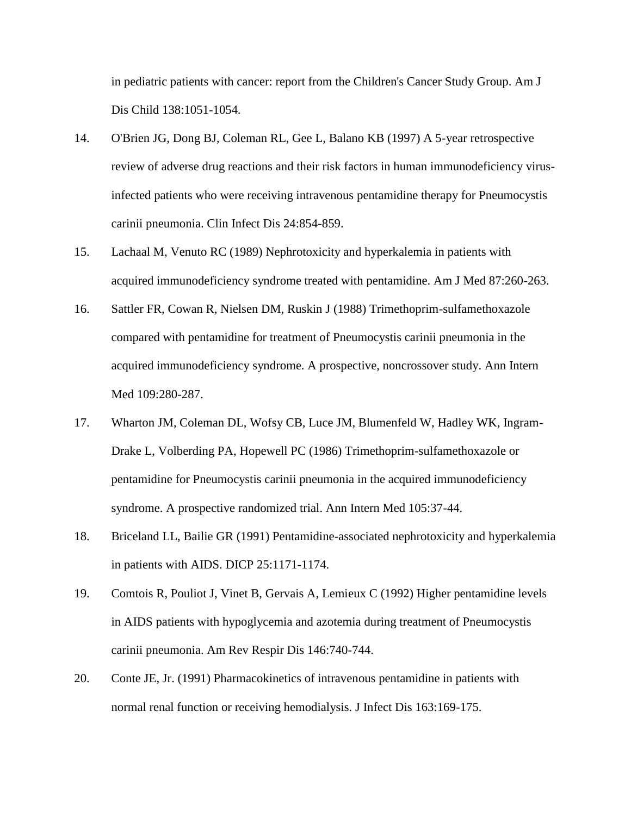in pediatric patients with cancer: report from the Children's Cancer Study Group. Am J Dis Child 138:1051-1054.

- 14. O'Brien JG, Dong BJ, Coleman RL, Gee L, Balano KB (1997) A 5-year retrospective review of adverse drug reactions and their risk factors in human immunodeficiency virusinfected patients who were receiving intravenous pentamidine therapy for Pneumocystis carinii pneumonia. Clin Infect Dis 24:854-859.
- 15. Lachaal M, Venuto RC (1989) Nephrotoxicity and hyperkalemia in patients with acquired immunodeficiency syndrome treated with pentamidine. Am J Med 87:260-263.
- 16. Sattler FR, Cowan R, Nielsen DM, Ruskin J (1988) Trimethoprim-sulfamethoxazole compared with pentamidine for treatment of Pneumocystis carinii pneumonia in the acquired immunodeficiency syndrome. A prospective, noncrossover study. Ann Intern Med 109:280-287.
- 17. Wharton JM, Coleman DL, Wofsy CB, Luce JM, Blumenfeld W, Hadley WK, Ingram-Drake L, Volberding PA, Hopewell PC (1986) Trimethoprim-sulfamethoxazole or pentamidine for Pneumocystis carinii pneumonia in the acquired immunodeficiency syndrome. A prospective randomized trial. Ann Intern Med 105:37-44.
- 18. Briceland LL, Bailie GR (1991) Pentamidine-associated nephrotoxicity and hyperkalemia in patients with AIDS. DICP 25:1171-1174.
- 19. Comtois R, Pouliot J, Vinet B, Gervais A, Lemieux C (1992) Higher pentamidine levels in AIDS patients with hypoglycemia and azotemia during treatment of Pneumocystis carinii pneumonia. Am Rev Respir Dis 146:740-744.
- 20. Conte JE, Jr. (1991) Pharmacokinetics of intravenous pentamidine in patients with normal renal function or receiving hemodialysis. J Infect Dis 163:169-175.